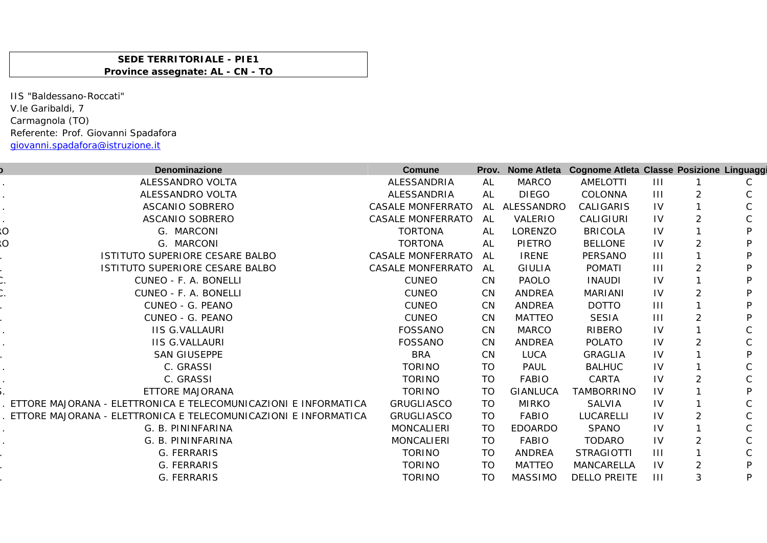## **SEDE TERRITORIALE - PIE1 Province assegnate: AL - CN - TO**

IIS "Baldessano-Roccati" V.le Garibaldi, 7 Carmagnola (TO) Referente: Prof. Giovanni Spadafora giovanni.spadafora@istruzione.it

| Denominazione                                                   | Comune                   |           |                 | Prov. Nome Atleta Cognome Atleta Classe Posizione Linguaggi |                |                |   |
|-----------------------------------------------------------------|--------------------------|-----------|-----------------|-------------------------------------------------------------|----------------|----------------|---|
| ALESSANDRO VOLTA                                                | ALESSANDRIA              | AL        | <b>MARCO</b>    | AMELOTTI                                                    | $\mathbf{H}$   |                |   |
| ALESSANDRO VOLTA                                                | ALESSANDRIA              | AL        | <b>DIEGO</b>    | COLONNA                                                     | $\mathbf{III}$ | 2              |   |
| ASCANIO SOBRERO                                                 | <b>CASALE MONFERRATO</b> |           | AL ALESSANDRO   | CALIGARIS                                                   | IV             |                |   |
| ASCANIO SOBRERO                                                 | <b>CASALE MONFERRATO</b> | AL        | VALERIO         | CALIGIURI                                                   | 1V             | 2              |   |
| Ö<br>G. MARCONI                                                 | <b>TORTONA</b>           | AL        | LORENZO         | <b>BRICOLA</b>                                              | IV             |                |   |
| O<br>G. MARCONI                                                 | <b>TORTONA</b>           | AL        | <b>PIETRO</b>   | <b>BELLONE</b>                                              | $\mathsf{IV}$  | $\overline{2}$ |   |
| ISTITUTO SUPERIORE CESARE BALBO                                 | <b>CASALE MONFERRATO</b> | AL        | <b>IRENE</b>    | PERSANO                                                     | $\mathbf{III}$ |                |   |
| ISTITUTO SUPERIORE CESARE BALBO                                 | <b>CASALE MONFERRATO</b> | AL.       | <b>GIULIA</b>   | POMATI                                                      | Ш              | 2              |   |
| CUNEO - F. A. BONELLI                                           | <b>CUNEO</b>             | CN        | <b>PAOLO</b>    | <b>INAUDI</b>                                               | IV             |                |   |
| CUNEO - F. A. BONELLI                                           | <b>CUNEO</b>             | <b>CN</b> | <b>ANDREA</b>   | <b>MARIANI</b>                                              | IV             | 2              |   |
| CUNEO - G. PEANO                                                | <b>CUNEO</b>             | CN        | <b>ANDREA</b>   | <b>DOTTO</b>                                                | $\mathbf{III}$ |                |   |
| CUNEO - G. PEANO                                                | <b>CUNEO</b>             | <b>CN</b> | <b>MATTEO</b>   | <b>SESIA</b>                                                | $\mathbf{III}$ | 2              |   |
| <b>IIS G.VALLAURI</b>                                           | FOSSANO                  | <b>CN</b> | <b>MARCO</b>    | <b>RIBERO</b>                                               | IV             |                |   |
| <b>IIS G.VALLAURI</b>                                           | <b>FOSSANO</b>           | <b>CN</b> | <b>ANDREA</b>   | <b>POLATO</b>                                               | IV             | $\overline{2}$ |   |
| <b>SAN GIUSEPPE</b>                                             | <b>BRA</b>               | <b>CN</b> | <b>LUCA</b>     | <b>GRAGLIA</b>                                              | 1V             |                |   |
| C. GRASSI                                                       | <b>TORINO</b>            | TO        | PAUL            | <b>BALHUC</b>                                               | 1V             |                |   |
| C. GRASSI                                                       | <b>TORINO</b>            | <b>TO</b> | FABIO           | CARTA                                                       | IV             | 2              |   |
| ETTORE MAJORANA                                                 | <b>TORINO</b>            | TO        | <b>GIANLUCA</b> | TAMBORRINO                                                  | IV             |                |   |
| ETTORE MAJORANA - ELETTRONICA E TELECOMUNICAZIONI E INFORMATICA | <b>GRUGLIASCO</b>        | <b>TO</b> | <b>MIRKO</b>    | <b>SALVIA</b>                                               | IV             |                |   |
| ETTORE MAJORANA - ELETTRONICA E TELECOMUNICAZIONI E INFORMATICA | <b>GRUGLIASCO</b>        | TO        | FABIO           | LUCARELLI                                                   | $\mathsf{IV}$  | 2              |   |
| G. B. PININFARINA                                               | <b>MONCALIERI</b>        | <b>TO</b> | <b>EDOARDO</b>  | <b>SPANO</b>                                                | IV             |                |   |
| G. B. PININFARINA                                               | <b>MONCALIERI</b>        | <b>TO</b> | FABIO           | <b>TODARO</b>                                               | $\mathsf{IV}$  | $\overline{2}$ |   |
| G. FERRARIS                                                     | <b>TORINO</b>            | TO        | <b>ANDREA</b>   | <b>STRAGIOTTI</b>                                           | $\mathbf{III}$ |                |   |
| G. FERRARIS                                                     | <b>TORINO</b>            | <b>TO</b> | <b>MATTEO</b>   | MANCARELLA                                                  | IV             | 2              | D |
| G. FERRARIS                                                     | <b>TORINO</b>            | TO        | <b>MASSIMO</b>  | <b>DELLO PREITE</b>                                         | $\mathbf{III}$ | 3              | D |